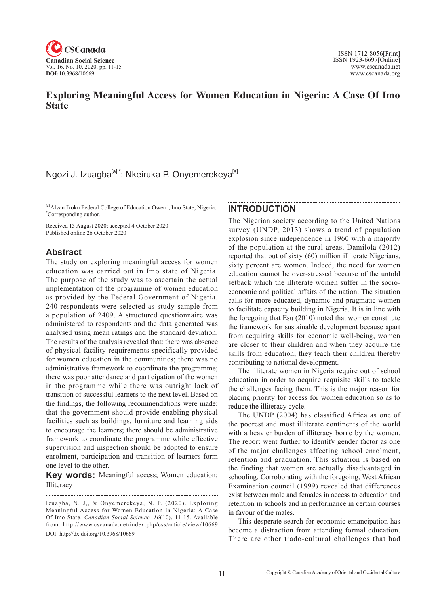

# **Exploring Meaningful Access for Women Education in Nigeria: A Case Of Imo State**

# Ngozi J. Izuagba<sup>[a],\*</sup>; Nkeiruka P. Onyemerekeya<sup>[a]</sup>

[a] Alvan Ikoku Federal College of Education Owerri, Imo State, Nigeria. \* Corresponding author.

Received 13 August 2020; accepted 4 October 2020 Published online 26 October 2020

## **Abstract**

The study on exploring meaningful access for women education was carried out in Imo state of Nigeria. The purpose of the study was to ascertain the actual implementation of the programme of women education as provided by the Federal Government of Nigeria. 240 respondents were selected as study sample from a population of 2409. A structured questionnaire was administered to respondents and the data generated was analysed using mean ratings and the standard deviation. The results of the analysis revealed that: there was absence of physical facility requirements specifically provided for women education in the communities; there was no administrative framework to coordinate the programme; there was poor attendance and participation of the women in the programme while there was outright lack of transition of successful learners to the next level. Based on the findings, the following recommendations were made: that the government should provide enabling physical facilities such as buildings, furniture and learning aids to encourage the learners; there should be administrative framework to coordinate the programme while effective supervision and inspection should be adopted to ensure enrolment, participation and transition of learners form one level to the other.

**Key words:** Meaningful access; Women education; Illiteracy

#### **INTRODUCTION**

The Nigerian society according to the United Nations survey (UNDP, 2013) shows a trend of population explosion since independence in 1960 with a majority of the population at the rural areas. Damilola (2012) reported that out of sixty (60) million illiterate Nigerians, sixty percent are women. Indeed, the need for women education cannot be over-stressed because of the untold setback which the illiterate women suffer in the socioeconomic and political affairs of the nation. The situation calls for more educated, dynamic and pragmatic women to facilitate capacity building in Nigeria. It is in line with the foregoing that Esu (2010) noted that women constitute the framework for sustainable development because apart from acquiring skills for economic well-being, women are closer to their children and when they acquire the skills from education, they teach their children thereby contributing to national development.

The illiterate women in Nigeria require out of school education in order to acquire requisite skills to tackle the challenges facing them. This is the major reason for placing priority for access for women education so as to reduce the illiteracy cycle.

The UNDP (2004) has classified Africa as one of the poorest and most illiterate continents of the world with a heavier burden of illiteracy borne by the women. The report went further to identify gender factor as one of the major challenges affecting school enrolment, retention and graduation. This situation is based on the finding that women are actually disadvantaged in schooling. Corroborating with the foregoing, West African Examination council (1999) revealed that differences exist between male and females in access to education and retention in schools and in performance in certain courses in favour of the males.

This desperate search for economic emancipation has become a distraction from attending formal education. There are other trado-cultural challenges that had

Izuagba, N. J,, & Onyemerekeya, N. P. (2020). Exploring Meaningful Access for Women Education in Nigeria: A Case Of Imo State. *Canadian Social Science*, 16(10), 11-15. Available from: http://www.cscanada.net/index.php/css/article/view/10669 DOI: http://dx.doi.org/10.3968/10669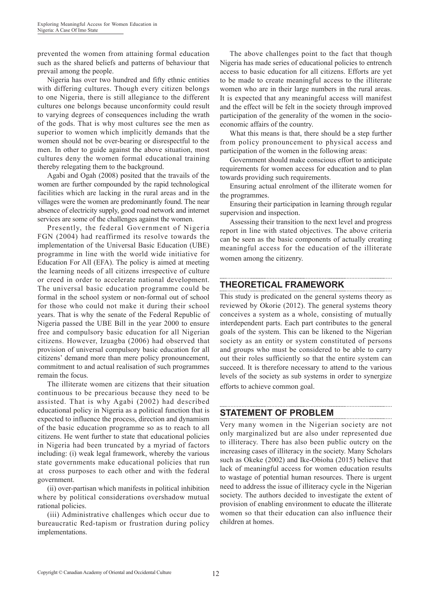prevented the women from attaining formal education such as the shared beliefs and patterns of behaviour that prevail among the people.

Nigeria has over two hundred and fifty ethnic entities with differing cultures. Though every citizen belongs to one Nigeria, there is still allegiance to the different cultures one belongs because unconformity could result to varying degrees of consequences including the wrath of the gods. That is why most cultures see the men as superior to women which implicitly demands that the women should not be over-bearing or disrespectful to the men. In other to guide against the above situation, most cultures deny the women formal educational training thereby relegating them to the background.

Agabi and Ogah (2008) posited that the travails of the women are further compounded by the rapid technological facilities which are lacking in the rural areas and in the villages were the women are predominantly found. The near absence of electricity supply, good road network and internet services are some of the challenges against the women.

Presently, the federal Government of Nigeria FGN (2004) had reaffirmed its resolve towards the implementation of the Universal Basic Education (UBE) programme in line with the world wide initiative for Education For All (EFA). The policy is aimed at meeting the learning needs of all citizens irrespective of culture or creed in order to accelerate national development. The universal basic education programme could be formal in the school system or non-formal out of school for those who could not make it during their school years. That is why the senate of the Federal Republic of Nigeria passed the UBE Bill in the year 2000 to ensure free and compulsory basic education for all Nigerian citizens. However, Izuagba (2006) had observed that provision of universal compulsory basic education for all citizens' demand more than mere policy pronouncement, commitment to and actual realisation of such programmes remain the focus.

The illiterate women are citizens that their situation continuous to be precarious because they need to be assisted. That is why Agabi (2002) had described educational policy in Nigeria as a political function that is expected to influence the process, direction and dynamism of the basic education programme so as to reach to all citizens. He went further to state that educational policies in Nigeria had been truncated by a myriad of factors including: (i) weak legal framework, whereby the various state governments make educational policies that run at cross purposes to each other and with the federal government.

(ii) over-partisan which manifests in political inhibition where by political considerations overshadow mutual rational policies.

(iii) Administrative challenges which occur due to bureaucratic Red-tapism or frustration during policy implementations.

The above challenges point to the fact that though Nigeria has made series of educational policies to entrench access to basic education for all citizens. Efforts are yet to be made to create meaningful access to the illiterate women who are in their large numbers in the rural areas. It is expected that any meaningful access will manifest and the effect will be felt in the society through improved participation of the generality of the women in the socioeconomic affairs of the country.

What this means is that, there should be a step further from policy pronouncement to physical access and participation of the women in the following areas:

Government should make conscious effort to anticipate requirements for women access for education and to plan towards providing such requirements.

Ensuring actual enrolment of the illiterate women for the programmes.

Ensuring their participation in learning through regular supervision and inspection.

Assessing their transition to the next level and progress report in line with stated objectives. The above criteria can be seen as the basic components of actually creating meaningful access for the education of the illiterate women among the citizenry.

# **THEORETICAL FRAMEWORK**

This study is predicated on the general systems theory as reviewed by Okorie (2012). The general systems theory conceives a system as a whole, consisting of mutually interdependent parts. Each part contributes to the general goals of the system. This can be likened to the Nigerian society as an entity or system constituted of persons and groups who must be considered to be able to carry out their roles sufficiently so that the entire system can succeed. It is therefore necessary to attend to the various levels of the society as sub systems in order to synergize efforts to achieve common goal.

## **STATEMENT OF PROBLEM**

Very many women in the Nigerian society are not only marginalized but are also under represented due to illiteracy. There has also been public outcry on the increasing cases of illiteracy in the society. Many Scholars such as Okeke (2002) and Ike-Obioha (2015) believe that lack of meaningful access for women education results to wastage of potential human resources. There is urgent need to address the issue of illiteracy cycle in the Nigerian society. The authors decided to investigate the extent of provision of enabling environment to educate the illiterate women so that their education can also influence their children at homes.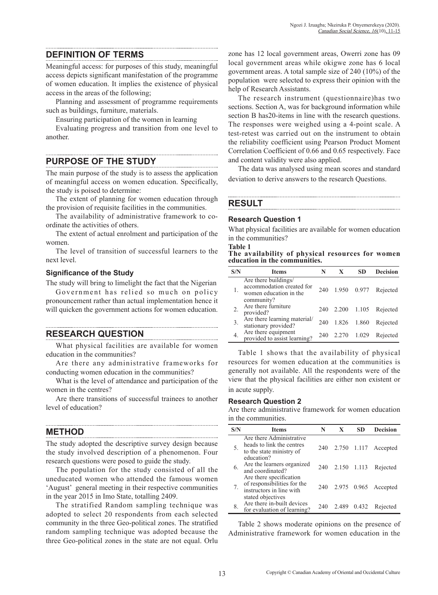## **DEFINITION OF TERMS**

Meaningful access: for purposes of this study, meaningful access depicts significant manifestation of the programme of women education. It implies the existence of physical access in the areas of the following;

Planning and assessment of programme requirements such as buildings, furniture, materials.

Ensuring participation of the women in learning

Evaluating progress and transition from one level to another.

## **PURPOSE OF THE STUDY**

The main purpose of the study is to assess the application of meaningful access on women education. Specifically, the study is poised to determine:

The extent of planning for women education through the provision of requisite facilities in the communities.

The availability of administrative framework to coordinate the activities of others.

The extent of actual enrolment and participation of the women.

The level of transition of successful learners to the next level.

## **Significance of the Study**

The study will bring to limelight the fact that the Nigerian

Government has relied so much on policy pronouncement rather than actual implementation hence it will quicken the government actions for women education.

**RESEARCH QUESTION**

What physical facilities are available for women education in the communities?

Are there any administrative frameworks for conducting women education in the communities?

What is the level of attendance and participation of the women in the centres?

Are there transitions of successful trainees to another level of education?

## **METHOD**

The study adopted the descriptive survey design because the study involved description of a phenomenon. Four research questions were posed to guide the study.

The population for the study consisted of all the uneducated women who attended the famous women 'August' general meeting in their respective communities in the year 2015 in Imo State, totalling 2409.

The stratified Random sampling technique was adopted to select 20 respondents from each selected community in the three Geo-political zones. The stratified random sampling technique was adopted because the three Geo-political zones in the state are not equal. Orlu zone has 12 local government areas, Owerri zone has 09 local government areas while okigwe zone has 6 local government areas. A total sample size of 240 (10%) of the population were selected to express their opinion with the help of Research Assistants.

The research instrument (questionnaire)has two sections. Section A, was for background information while section B has20-items in line with the research questions. The responses were weighed using a 4-point scale. A test-retest was carried out on the instrument to obtain the reliability coefficient using Pearson Product Moment Correlation Coefficient of 0.66 and 0.65 respectively. Face and content validity were also applied.

The data was analysed using mean scores and standard deviation to derive answers to the research Questions.

# **RESULT**

#### **Research Question 1**

**Table 1** 

What physical facilities are available for women education in the communities?

**The availability of physical resources for women education in the communities.**

| S/N | Items                                                                                     | N   | X           | SD    | <b>Decision</b> |
|-----|-------------------------------------------------------------------------------------------|-----|-------------|-------|-----------------|
|     | Are there buildings/<br>accommodation created for<br>women education in the<br>community? | 240 | 1.950 0.977 |       | Rejected        |
|     | Are there furniture<br>provided?                                                          | 240 | 2.200 1.105 |       | Rejected        |
| 3.  | Are there learning material/<br>stationary provided?                                      | 240 | 1.826       | 1.860 | Rejected        |
| 4.  | Are there equipment<br>provided to assist learning?                                       | 240 | 2.270 1.029 |       | Rejected        |

Table 1 shows that the availability of physical resources for women education at the communities is generally not available. All the respondents were of the view that the physical facilities are either non existent or in acute supply.

### **Research Question 2**

Are there administrative framework for women education in the communities.

| S/N | <b>Items</b>                                                                       | N   | X           | SD | <b>Decision</b>      |
|-----|------------------------------------------------------------------------------------|-----|-------------|----|----------------------|
| 5.  | Are there Administrative<br>heads to link the centres<br>to the state ministry of  | 240 | 2.750 1.117 |    | Accepted             |
| 6.  | education?<br>Are the learners organized<br>and coordinated?                       | 240 | 2.150 1.113 |    | Rejected             |
|     | Are there specification<br>of responsibilities for the<br>instructors in line with | 240 |             |    | 2.975 0.965 Accepted |
| 8.  | stated objectives<br>Are there in-built devices<br>for evaluation of learning?     | 240 | 2.489 0.432 |    | Rejected             |

Table 2 shows moderate opinions on the presence of Administrative framework for women education in the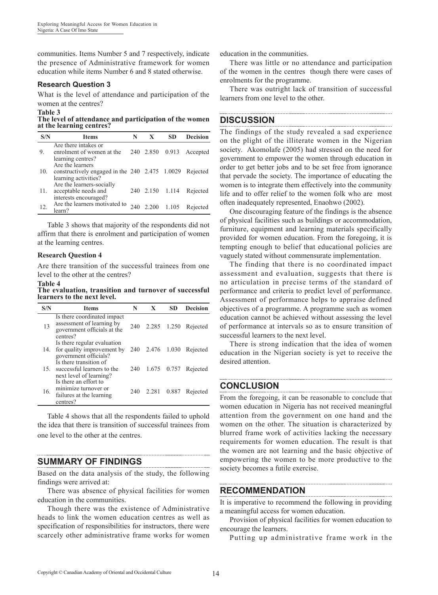communities. Items Number 5 and 7 respectively, indicate the presence of Administrative framework for women education while items Number 6 and 8 stated otherwise.

#### **Research Question 3**

What is the level of attendance and participation of the women at the centres?

#### **Table 3**

**The level of attendance and participation of the women at the learning centres?**

| S/N | <b>Items</b>                                                                                 | N   | X               | SD | <b>Decision</b>          |
|-----|----------------------------------------------------------------------------------------------|-----|-----------------|----|--------------------------|
| 9.  | Are there intakes or<br>enrolment of women at the<br>learning centres?                       |     |                 |    | 240 2.850 0.913 Accepted |
| 10. | Are the learners<br>constructively engaged in the $240$ 2.475 1.0029<br>learning activities? |     |                 |    | Rejected                 |
| 11. | Are the learners-socially<br>acceptable needs and<br>interests encouraged?                   |     | 240 2.150 1.114 |    | Rejected                 |
| 12. | Are the learners motivated to<br>learn?                                                      | 240 | 2.200 1.105     |    | Rejected                 |

Table 3 shows that majority of the respondents did not affirm that there is enrolment and participation of women at the learning centres.

#### **Research Question 4**

Are there transition of the successful trainees from one level to the other at the centres?

#### **Table 4**

**The evaluation, transition and turnover of successful learners to the next level.**

| S/N | <b>Items</b>                                                                                        | N   | X               | SD    | <b>Decision</b> |
|-----|-----------------------------------------------------------------------------------------------------|-----|-----------------|-------|-----------------|
| 13  | Is there coordinated impact<br>assessment of learning by<br>government officials at the<br>centres? | 240 | 2.285 1.250     |       | Rejected        |
| 14. | Is there regular evaluation<br>for quality improvement by<br>government officials?                  |     | 240 2.476 1.030 |       | Rejected        |
|     | Is there transition of<br>15. successful learners to the<br>next level of learning?                 | 240 | 1.675 0.757     |       | Rejected        |
| 16. | Is there an effort to<br>minimize turnover or<br>failures at the learning<br>centres?               | 240 | 2.281           | 0.887 | Rejected        |

Table 4 shows that all the respondents failed to uphold the idea that there is transition of successful trainees from one level to the other at the centres.

## **SUMMARY OF FINDINGS**

Based on the data analysis of the study, the following findings were arrived at:

There was absence of physical facilities for women education in the communities.

Though there was the existence of Administrative heads to link the women education centres as well as specification of responsibilities for instructors, there were scarcely other administrative frame works for women education in the communities.

There was little or no attendance and participation of the women in the centres though there were cases of enrolments for the programme.

There was outright lack of transition of successful learners from one level to the other.

## **DISCUSSION**

The findings of the study revealed a sad experience on the plight of the illiterate women in the Nigerian society. Akomolafe (2005) had stressed on the need for government to empower the women through education in order to get better jobs and to be set free from ignorance that pervade the society. The importance of educating the women is to integrate them effectively into the community life and to offer relief to the women folk who are most often inadequately represented, Enaohwo (2002).

One discouraging feature of the findings is the absence of physical facilities such as buildings or accommodation, furniture, equipment and learning materials specifically provided for women education. From the foregoing, it is tempting enough to belief that educational policies are vaguely stated without commensurate implementation.

The finding that there is no coordinated impact assessment and evaluation, suggests that there is no articulation in precise terms of the standard of performance and criteria to predict level of performance. Assessment of performance helps to appraise defined objectives of a programme. A programme such as women education cannot be achieved without assessing the level of performance at intervals so as to ensure transition of successful learners to the next level.

There is strong indication that the idea of women education in the Nigerian society is yet to receive the desired attention.

## **CONCLUSION**

From the foregoing, it can be reasonable to conclude that women education in Nigeria has not received meaningful attention from the government on one hand and the women on the other. The situation is characterized by blurred frame work of activities lacking the necessary requirements for women education. The result is that the women are not learning and the basic objective of empowering the women to be more productive to the society becomes a futile exercise.

## **RECOMMENDATION**

It is imperative to recommend the following in providing a meaningful access for women education.

Provision of physical facilities for women education to encourage the learners.

Putting up administrative frame work in the